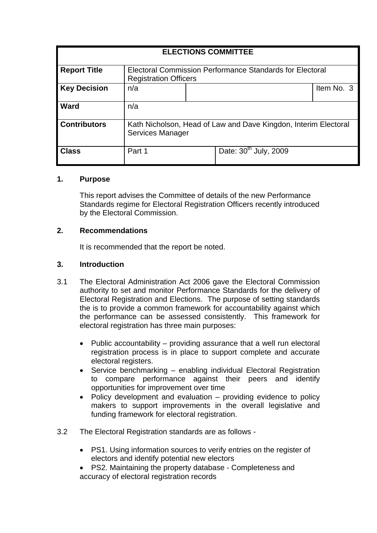| <b>ELECTIONS COMMITTEE</b> |                                                                                            |  |                                   |            |
|----------------------------|--------------------------------------------------------------------------------------------|--|-----------------------------------|------------|
| <b>Report Title</b>        | Electoral Commission Performance Standards for Electoral<br><b>Registration Officers</b>   |  |                                   |            |
| <b>Key Decision</b>        | n/a                                                                                        |  |                                   | Item No. 3 |
| <b>Ward</b>                | n/a                                                                                        |  |                                   |            |
| <b>Contributors</b>        | Kath Nicholson, Head of Law and Dave Kingdon, Interim Electoral<br><b>Services Manager</b> |  |                                   |            |
| <b>Class</b>               | Part 1                                                                                     |  | Date: 30 <sup>th</sup> July, 2009 |            |

#### **1. Purpose**

This report advises the Committee of details of the new Performance Standards regime for Electoral Registration Officers recently introduced by the Electoral Commission.

#### **2. Recommendations**

It is recommended that the report be noted.

#### **3. Introduction**

- 3.1 The Electoral Administration Act 2006 gave the Electoral Commission authority to set and monitor Performance Standards for the delivery of Electoral Registration and Elections. The purpose of setting standards the is to provide a common framework for accountability against which the performance can be assessed consistently. This framework for electoral registration has three main purposes:
	- Public accountability providing assurance that a well run electoral registration process is in place to support complete and accurate electoral registers.
	- Service benchmarking enabling individual Electoral Registration to compare performance against their peers and identify opportunities for improvement over time
	- Policy development and evaluation providing evidence to policy makers to support improvements in the overall legislative and funding framework for electoral registration.
- 3.2 The Electoral Registration standards are as follows
	- PS1. Using information sources to verify entries on the register of electors and identify potential new electors
	- PS2. Maintaining the property database Completeness and accuracy of electoral registration records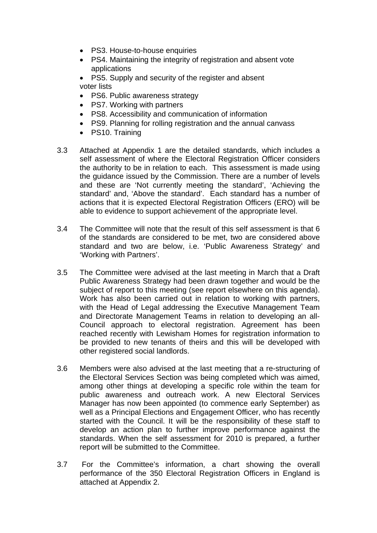- PS3. House-to-house enquiries
- PS4. Maintaining the integrity of registration and absent vote applications
- PS5. Supply and security of the register and absent voter lists
- PS6. Public awareness strategy
- PS7. Working with partners
- PS8. Accessibility and communication of information
- PS9. Planning for rolling registration and the annual canvass
- PS10. Training
- 3.3 Attached at Appendix 1 are the detailed standards, which includes a self assessment of where the Electoral Registration Officer considers the authority to be in relation to each. This assessment is made using the guidance issued by the Commission. There are a number of levels and these are 'Not currently meeting the standard', 'Achieving the standard' and, 'Above the standard'. Each standard has a number of actions that it is expected Electoral Registration Officers (ERO) will be able to evidence to support achievement of the appropriate level.
- 3.4 The Committee will note that the result of this self assessment is that 6 of the standards are considered to be met, two are considered above standard and two are below, i.e. 'Public Awareness Strategy' and 'Working with Partners'.
- 3.5 The Committee were advised at the last meeting in March that a Draft Public Awareness Strategy had been drawn together and would be the subject of report to this meeting (see report elsewhere on this agenda). Work has also been carried out in relation to working with partners, with the Head of Legal addressing the Executive Management Team and Directorate Management Teams in relation to developing an all-Council approach to electoral registration. Agreement has been reached recently with Lewisham Homes for registration information to be provided to new tenants of theirs and this will be developed with other registered social landlords.
- 3.6 Members were also advised at the last meeting that a re-structuring of the Electoral Services Section was being completed which was aimed, among other things at developing a specific role within the team for public awareness and outreach work. A new Electoral Services Manager has now been appointed (to commence early September) as well as a Principal Elections and Engagement Officer, who has recently started with the Council. It will be the responsibility of these staff to develop an action plan to further improve performance against the standards. When the self assessment for 2010 is prepared, a further report will be submitted to the Committee.
- 3.7 For the Committee's information, a chart showing the overall performance of the 350 Electoral Registration Officers in England is attached at Appendix 2.